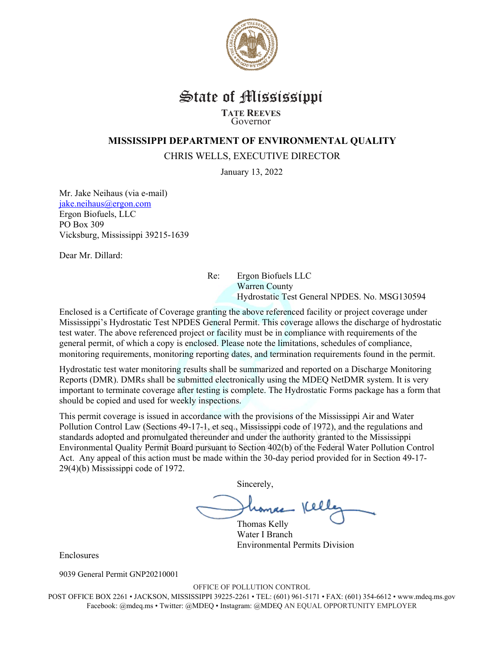

## State of Mississippi **TATE REEVES** Governor

## **MISSISSIPPI DEPARTMENT OF ENVIRONMENTAL QUALITY**

CHRIS WELLS, EXECUTIVE DIRECTOR

January 13, 2022

Mr. Jake Neihaus (via e-mail) jake.neihaus@ergon.com Ergon Biofuels, LLC PO Box 309 Vicksburg, Mississippi 39215-1639

Dear Mr. Dillard:

Re: Ergon Biofuels LLC Warren County Hydrostatic Test General NPDES. No. MSG130594

Enclosed is a Certificate of Coverage granting the above referenced facility or project coverage under Mississippi's Hydrostatic Test NPDES General Permit. This coverage allows the discharge of hydrostatic test water. The above referenced project or facility must be in compliance with requirements of the general permit, of which a copy is enclosed. Please note the limitations, schedules of compliance, monitoring requirements, monitoring reporting dates, and termination requirements found in the permit.

Hydrostatic test water monitoring results shall be summarized and reported on a Discharge Monitoring Reports (DMR). DMRs shall be submitted electronically using the MDEQ NetDMR system. It is very important to terminate coverage after testing is complete. The Hydrostatic Forms package has a form that should be copied and used for weekly inspections.

This permit coverage is issued in accordance with the provisions of the Mississippi Air and Water Pollution Control Law (Sections 49-17-1, et seq., Mississippi code of 1972), and the regulations and standards adopted and promulgated thereunder and under the authority granted to the Mississippi Environmental Quality Permit Board pursuant to Section 402(b) of the Federal Water Pollution Control Act. Any appeal of this action must be made within the 30-day period provided for in Section 49-17- 29(4)(b) Mississippi code of 1972.

Sincerely,

Thomas Kelly Water I Branch Environmental Permits Division

Enclosures

9039 General Permit GNP20210001

OFFICE OF POLLUTION CONTROL

POST OFFICE BOX 2261 • JACKSON, MISSISSIPPI 39225-2261 • TEL: (601) 961-5171 • FAX: (601) 354-6612 • www.mdeq.ms.gov Facebook: @mdeq.ms • Twitter: @MDEQ • Instagram: @MDEQ AN EQUAL OPPORTUNITY EMPLOYER